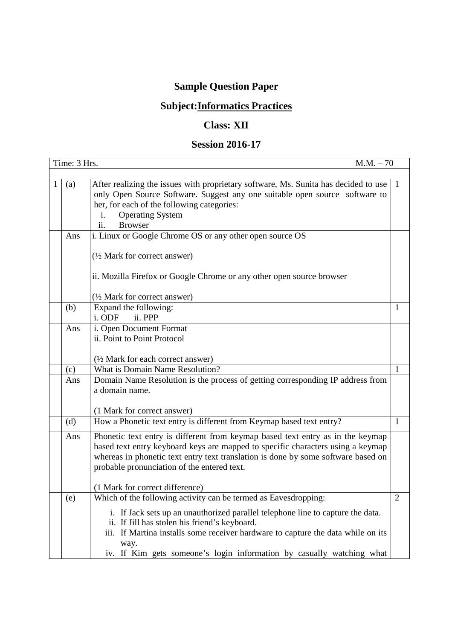## **Sample Question Paper**

## **Subject:Informatics Practices**

## **Class: XII**

## **Session 2016-17**

|   | Time: 3 Hrs.<br>$M.M. - 70$ |                                                                                                                                                                                                                                                                                                       |              |
|---|-----------------------------|-------------------------------------------------------------------------------------------------------------------------------------------------------------------------------------------------------------------------------------------------------------------------------------------------------|--------------|
|   |                             |                                                                                                                                                                                                                                                                                                       |              |
| 1 | (a)                         | After realizing the issues with proprietary software, Ms. Sunita has decided to use<br>only Open Source Software. Suggest any one suitable open source software to<br>her, for each of the following categories:<br><b>Operating System</b><br>i.<br><b>Browser</b><br>ii.                            | $\mathbf{1}$ |
|   | Ans                         | i. Linux or Google Chrome OS or any other open source OS                                                                                                                                                                                                                                              |              |
|   |                             | (1/2 Mark for correct answer)<br>ii. Mozilla Firefox or Google Chrome or any other open source browser                                                                                                                                                                                                |              |
|   |                             | (1/2 Mark for correct answer)                                                                                                                                                                                                                                                                         |              |
|   | (b)                         | Expand the following:                                                                                                                                                                                                                                                                                 | -1           |
|   |                             | i. ODF<br>ii. PPP                                                                                                                                                                                                                                                                                     |              |
|   | Ans                         | i. Open Document Format<br>ii. Point to Point Protocol                                                                                                                                                                                                                                                |              |
|   |                             | (1/2 Mark for each correct answer)                                                                                                                                                                                                                                                                    |              |
|   | (c)                         | What is Domain Name Resolution?                                                                                                                                                                                                                                                                       | 1            |
|   | Ans                         | Domain Name Resolution is the process of getting corresponding IP address from<br>a domain name.<br>(1 Mark for correct answer)                                                                                                                                                                       |              |
|   | (d)                         | How a Phonetic text entry is different from Keymap based text entry?                                                                                                                                                                                                                                  | -1           |
|   | Ans                         | Phonetic text entry is different from keymap based text entry as in the keymap<br>based text entry keyboard keys are mapped to specific characters using a keymap<br>whereas in phonetic text entry text translation is done by some software based on<br>probable pronunciation of the entered text. |              |
|   |                             | (1 Mark for correct difference)                                                                                                                                                                                                                                                                       |              |
|   | (e)                         | Which of the following activity can be termed as Eavesdropping:                                                                                                                                                                                                                                       | 2            |
|   |                             | i. If Jack sets up an unauthorized parallel telephone line to capture the data.<br>ii. If Jill has stolen his friend's keyboard.<br>iii. If Martina installs some receiver hardware to capture the data while on its<br>way.<br>iv. If Kim gets someone's login information by casually watching what |              |
|   |                             |                                                                                                                                                                                                                                                                                                       |              |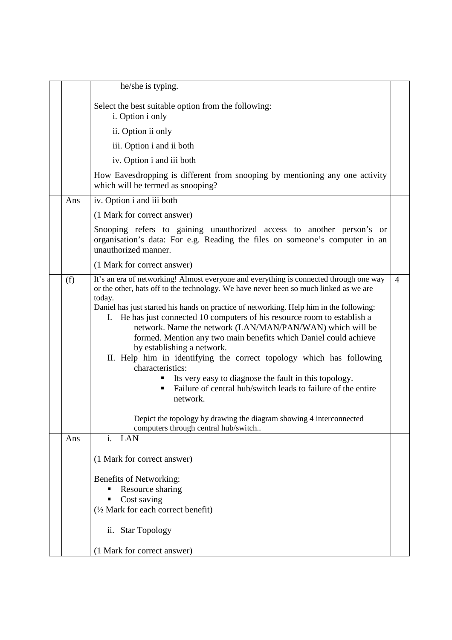|     | he/she is typing.                                                                                                                                                                                                                                                                                                                                                                                                                                                                                                                                                                                                                                                                                                                                                                                                                                                                   |                |
|-----|-------------------------------------------------------------------------------------------------------------------------------------------------------------------------------------------------------------------------------------------------------------------------------------------------------------------------------------------------------------------------------------------------------------------------------------------------------------------------------------------------------------------------------------------------------------------------------------------------------------------------------------------------------------------------------------------------------------------------------------------------------------------------------------------------------------------------------------------------------------------------------------|----------------|
|     | Select the best suitable option from the following:<br>i. Option i only                                                                                                                                                                                                                                                                                                                                                                                                                                                                                                                                                                                                                                                                                                                                                                                                             |                |
|     | ii. Option ii only                                                                                                                                                                                                                                                                                                                                                                                                                                                                                                                                                                                                                                                                                                                                                                                                                                                                  |                |
|     | iii. Option i and ii both                                                                                                                                                                                                                                                                                                                                                                                                                                                                                                                                                                                                                                                                                                                                                                                                                                                           |                |
|     | iv. Option i and iii both                                                                                                                                                                                                                                                                                                                                                                                                                                                                                                                                                                                                                                                                                                                                                                                                                                                           |                |
|     | How Eavesdropping is different from snooping by mentioning any one activity<br>which will be termed as snooping?                                                                                                                                                                                                                                                                                                                                                                                                                                                                                                                                                                                                                                                                                                                                                                    |                |
| Ans | iv. Option i and iii both                                                                                                                                                                                                                                                                                                                                                                                                                                                                                                                                                                                                                                                                                                                                                                                                                                                           |                |
|     | (1 Mark for correct answer)                                                                                                                                                                                                                                                                                                                                                                                                                                                                                                                                                                                                                                                                                                                                                                                                                                                         |                |
|     | Snooping refers to gaining unauthorized access to another person's or<br>organisation's data: For e.g. Reading the files on someone's computer in an<br>unauthorized manner.                                                                                                                                                                                                                                                                                                                                                                                                                                                                                                                                                                                                                                                                                                        |                |
|     | (1 Mark for correct answer)                                                                                                                                                                                                                                                                                                                                                                                                                                                                                                                                                                                                                                                                                                                                                                                                                                                         |                |
| (f) | It's an era of networking! Almost everyone and everything is connected through one way<br>or the other, hats off to the technology. We have never been so much linked as we are<br>today.<br>Daniel has just started his hands on practice of networking. Help him in the following:<br>He has just connected 10 computers of his resource room to establish a<br>I.<br>network. Name the network (LAN/MAN/PAN/WAN) which will be<br>formed. Mention any two main benefits which Daniel could achieve<br>by establishing a network.<br>II. Help him in identifying the correct topology which has following<br>characteristics:<br>Its very easy to diagnose the fault in this topology.<br>Failure of central hub/switch leads to failure of the entire<br>network.<br>Depict the topology by drawing the diagram showing 4 interconnected<br>computers through central hub/switch | $\overline{4}$ |
| Ans | i. LAN<br>(1 Mark for correct answer)<br>Benefits of Networking:<br>Resource sharing<br>п<br>Cost saving<br>(1/2 Mark for each correct benefit)<br>ii. Star Topology<br>(1 Mark for correct answer)                                                                                                                                                                                                                                                                                                                                                                                                                                                                                                                                                                                                                                                                                 |                |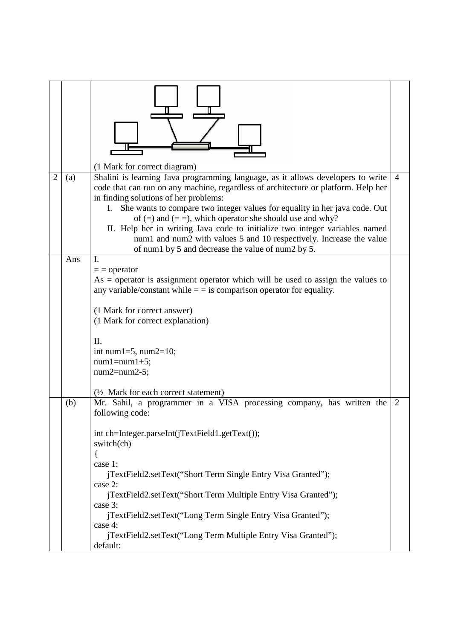|                |     | (1 Mark for correct diagram)                                                                                                                                                                                                                                                                                                                                                                                                                                                                                                                                                  |                |
|----------------|-----|-------------------------------------------------------------------------------------------------------------------------------------------------------------------------------------------------------------------------------------------------------------------------------------------------------------------------------------------------------------------------------------------------------------------------------------------------------------------------------------------------------------------------------------------------------------------------------|----------------|
| $\overline{2}$ | (a) | Shalini is learning Java programming language, as it allows developers to write<br>code that can run on any machine, regardless of architecture or platform. Help her<br>in finding solutions of her problems:<br>She wants to compare two integer values for equality in her java code. Out<br>I.<br>of $(=)$ and $(==)$ , which operator she should use and why?<br>II. Help her in writing Java code to initialize two integer variables named<br>num1 and num2 with values 5 and 10 respectively. Increase the value<br>of num1 by 5 and decrease the value of num2 by 5. | $\overline{4}$ |
|                | Ans | I.<br>$=$ = operator<br>$As = operator$ is assignment operator which will be used to assign the values to<br>any variable/constant while $=$ = is comparison operator for equality.<br>(1 Mark for correct answer)<br>(1 Mark for correct explanation)<br>Π.<br>int num $1=5$ , num $2=10$ ;<br>$num1 = num1 + 5;$<br>$num2 = num2 - 5;$<br>(1/2 Mark for each correct statement)                                                                                                                                                                                             |                |
|                | (b) | Mr. Sahil, a programmer in a VISA processing company, has written the<br>following code:<br>int ch=Integer.parseInt(jTextField1.getText());<br>switch(ch)<br>case 1:<br>jTextField2.setText("Short Term Single Entry Visa Granted");<br>case 2:<br>jTextField2.setText("Short Term Multiple Entry Visa Granted");<br>case 3:<br>jTextField2.setText("Long Term Single Entry Visa Granted");<br>case 4:<br>jTextField2.setText("Long Term Multiple Entry Visa Granted");<br>default:                                                                                           | $\overline{2}$ |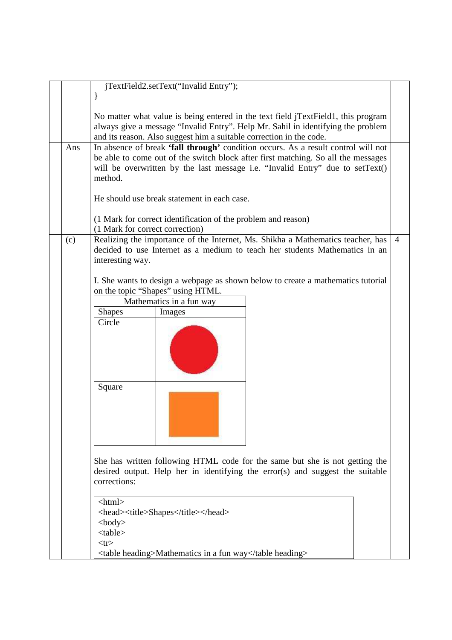|     | jTextField2.setText("Invalid Entry");                                                                                                                                                                                                                              |                |  |  |  |
|-----|--------------------------------------------------------------------------------------------------------------------------------------------------------------------------------------------------------------------------------------------------------------------|----------------|--|--|--|
|     | $\mathbf{\}$                                                                                                                                                                                                                                                       |                |  |  |  |
|     | No matter what value is being entered in the text field jTextField1, this program<br>always give a message "Invalid Entry". Help Mr. Sahil in identifying the problem<br>and its reason. Also suggest him a suitable correction in the code.                       |                |  |  |  |
| Ans | In absence of break 'fall through' condition occurs. As a result control will not<br>be able to come out of the switch block after first matching. So all the messages<br>will be overwritten by the last message i.e. "Invalid Entry" due to setText()<br>method. |                |  |  |  |
|     | He should use break statement in each case.                                                                                                                                                                                                                        |                |  |  |  |
|     | (1 Mark for correct identification of the problem and reason)<br>(1 Mark for correct correction)                                                                                                                                                                   |                |  |  |  |
| (c) | Realizing the importance of the Internet, Ms. Shikha a Mathematics teacher, has<br>decided to use Internet as a medium to teach her students Mathematics in an<br>interesting way.                                                                                 | $\overline{4}$ |  |  |  |
|     | I. She wants to design a webpage as shown below to create a mathematics tutorial<br>on the topic "Shapes" using HTML.<br>Mathematics in a fun way                                                                                                                  |                |  |  |  |
|     | <b>Shapes</b><br>Images<br>Circle                                                                                                                                                                                                                                  |                |  |  |  |
|     | Square                                                                                                                                                                                                                                                             |                |  |  |  |
|     | She has written following HTML code for the same but she is not getting the<br>desired output. Help her in identifying the error(s) and suggest the suitable<br>corrections:                                                                                       |                |  |  |  |
|     | $\langle$ html $>$<br><head><title>Shapes</title></head><br>$<$ body $>$<br>$<$ table $>$<br>$<$ tr $>$<br><table heading="">Mathematics in a fun way</table>                                                                                                      |                |  |  |  |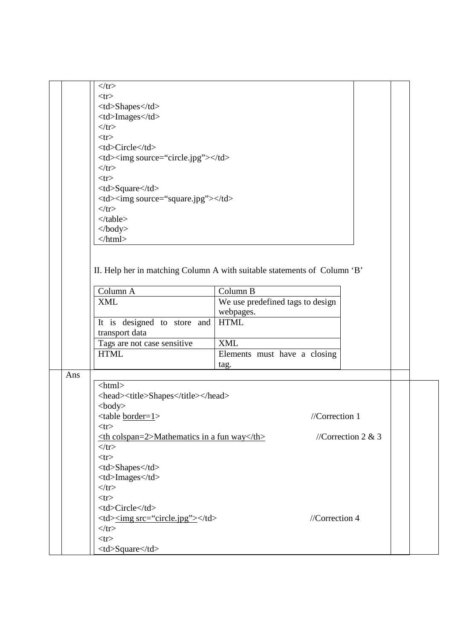|     | $\langle tr \rangle$                                     |                                                                          |                    |  |  |        |
|-----|----------------------------------------------------------|--------------------------------------------------------------------------|--------------------|--|--|--------|
|     | $<$ tr $>$                                               |                                                                          |                    |  |  |        |
|     | <td>Shapes</td>                                          | Shapes                                                                   |                    |  |  |        |
|     | <td>Images</td>                                          |                                                                          |                    |  |  | Images |
|     | $\langle tr \rangle$                                     |                                                                          |                    |  |  |        |
|     | $<$ tr $>$                                               |                                                                          |                    |  |  |        |
|     | <td>Circle</td>                                          | Circle                                                                   |                    |  |  |        |
|     | <td><img source="circle.jpg"/></td>                      | <img source="circle.jpg"/>                                               |                    |  |  |        |
|     | $\langle tr \rangle$                                     |                                                                          |                    |  |  |        |
|     | $<$ tr $>$                                               |                                                                          |                    |  |  |        |
|     | <td>Square</td>                                          | Square                                                                   |                    |  |  |        |
|     | <td><img source="square.jpg"/></td>                      | <img source="square.jpg"/>                                               |                    |  |  |        |
|     | $\langle tr \rangle$                                     |                                                                          |                    |  |  |        |
|     | $\langle$ table>                                         |                                                                          |                    |  |  |        |
|     | $\langle \text{body} \rangle$                            |                                                                          |                    |  |  |        |
|     | $\langle$ html>                                          |                                                                          |                    |  |  |        |
|     |                                                          |                                                                          |                    |  |  |        |
|     |                                                          |                                                                          |                    |  |  |        |
|     |                                                          | II. Help her in matching Column A with suitable statements of Column 'B' |                    |  |  |        |
|     |                                                          |                                                                          |                    |  |  |        |
|     | Column A                                                 | Column B                                                                 |                    |  |  |        |
|     | <b>XML</b>                                               | We use predefined tags to design                                         |                    |  |  |        |
|     |                                                          | webpages.                                                                |                    |  |  |        |
|     | It is designed to store and                              | <b>HTML</b>                                                              |                    |  |  |        |
|     | transport data                                           |                                                                          |                    |  |  |        |
|     | Tags are not case sensitive                              | <b>XML</b>                                                               |                    |  |  |        |
|     | <b>HTML</b>                                              | Elements must have a closing                                             |                    |  |  |        |
|     |                                                          | tag.                                                                     |                    |  |  |        |
| Ans |                                                          |                                                                          |                    |  |  |        |
|     | $\langle$ html $>$                                       |                                                                          |                    |  |  |        |
|     | <head><title>Shapes</title></head>                       |                                                                          |                    |  |  |        |
|     |                                                          |                                                                          |                    |  |  |        |
|     | $<$ body $>$                                             | //Correction $1$                                                         |                    |  |  |        |
|     | <table <u="">border=1&gt;</table>                        |                                                                          |                    |  |  |        |
|     | $<$ tr $>$                                               |                                                                          |                    |  |  |        |
|     | $\leq$ th colspan=2>Mathematics in a fun way $\leq$ /th> |                                                                          | //Correction 2 & 3 |  |  |        |
|     | $\langle tr \rangle$                                     |                                                                          |                    |  |  |        |
|     | $<$ tr $>$                                               |                                                                          |                    |  |  |        |
|     | <td>Shapes</td>                                          | Shapes                                                                   |                    |  |  |        |
|     | <td>Images</td>                                          | Images                                                                   |                    |  |  |        |
|     | $\langle tr \rangle$                                     |                                                                          |                    |  |  |        |
|     | $<$ tr $>$                                               |                                                                          |                    |  |  |        |
|     | <td>Circle</td>                                          | Circle                                                                   |                    |  |  |        |
|     | <td><u><img src="circle.jpg"/></u></td>                  | <u><img src="circle.jpg"/></u>                                           | //Correction 4     |  |  |        |
|     | $\langle tr \rangle$                                     |                                                                          |                    |  |  |        |
|     | $<$ tr $>$                                               |                                                                          |                    |  |  |        |
|     | <td>Square</td>                                          | Square                                                                   |                    |  |  |        |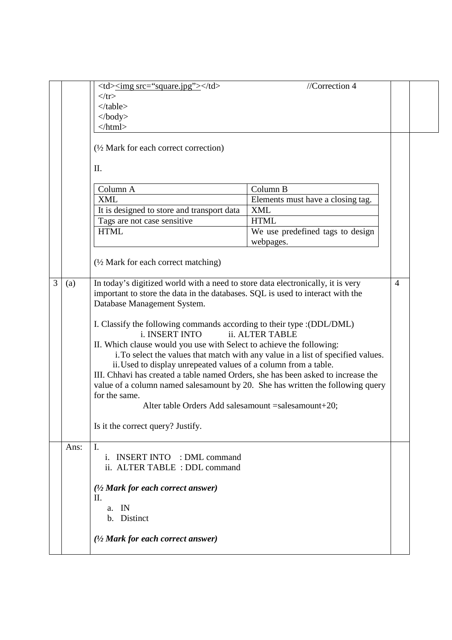|   |      | <td><u><img< u=""> src="square.jpg"&gt; </img<></u></td>                                                                                                                                                                                                                                                                                                                                                                                                                                                                                                                                                                                                                                                                                                                                                                             | <u><img< u=""> src="square.jpg"&gt; </img<></u> | //Correction 4 |  |
|---|------|--------------------------------------------------------------------------------------------------------------------------------------------------------------------------------------------------------------------------------------------------------------------------------------------------------------------------------------------------------------------------------------------------------------------------------------------------------------------------------------------------------------------------------------------------------------------------------------------------------------------------------------------------------------------------------------------------------------------------------------------------------------------------------------------------------------------------------------|-------------------------------------------------|----------------|--|
|   |      | $\langle tr \rangle$                                                                                                                                                                                                                                                                                                                                                                                                                                                                                                                                                                                                                                                                                                                                                                                                                 |                                                 |                |  |
|   |      | $\langle$ table $\rangle$                                                                                                                                                                                                                                                                                                                                                                                                                                                                                                                                                                                                                                                                                                                                                                                                            |                                                 |                |  |
|   |      | $\langle \text{body} \rangle$                                                                                                                                                                                                                                                                                                                                                                                                                                                                                                                                                                                                                                                                                                                                                                                                        |                                                 |                |  |
|   |      | $\langle$ html>                                                                                                                                                                                                                                                                                                                                                                                                                                                                                                                                                                                                                                                                                                                                                                                                                      |                                                 |                |  |
|   |      | $\frac{1}{2}$ Mark for each correct correction)                                                                                                                                                                                                                                                                                                                                                                                                                                                                                                                                                                                                                                                                                                                                                                                      |                                                 |                |  |
|   |      | Π.                                                                                                                                                                                                                                                                                                                                                                                                                                                                                                                                                                                                                                                                                                                                                                                                                                   |                                                 |                |  |
|   |      | Column A                                                                                                                                                                                                                                                                                                                                                                                                                                                                                                                                                                                                                                                                                                                                                                                                                             | Column B                                        |                |  |
|   |      | <b>XML</b>                                                                                                                                                                                                                                                                                                                                                                                                                                                                                                                                                                                                                                                                                                                                                                                                                           | Elements must have a closing tag.               |                |  |
|   |      | It is designed to store and transport data                                                                                                                                                                                                                                                                                                                                                                                                                                                                                                                                                                                                                                                                                                                                                                                           | <b>XML</b>                                      |                |  |
|   |      | Tags are not case sensitive                                                                                                                                                                                                                                                                                                                                                                                                                                                                                                                                                                                                                                                                                                                                                                                                          | <b>HTML</b>                                     |                |  |
|   |      | <b>HTML</b>                                                                                                                                                                                                                                                                                                                                                                                                                                                                                                                                                                                                                                                                                                                                                                                                                          | We use predefined tags to design                |                |  |
|   |      |                                                                                                                                                                                                                                                                                                                                                                                                                                                                                                                                                                                                                                                                                                                                                                                                                                      | webpages.                                       |                |  |
|   |      | $\frac{1}{2}$ Mark for each correct matching)                                                                                                                                                                                                                                                                                                                                                                                                                                                                                                                                                                                                                                                                                                                                                                                        |                                                 |                |  |
| 3 | (a)  | In today's digitized world with a need to store data electronically, it is very<br>important to store the data in the databases. SQL is used to interact with the<br>Database Management System.<br>I. Classify the following commands according to their type : (DDL/DML)<br>i. INSERT INTO<br>ii. ALTER TABLE<br>II. Which clause would you use with Select to achieve the following:<br>i. To select the values that match with any value in a list of specified values.<br>ii. Used to display unrepeated values of a column from a table.<br>III. Chhavi has created a table named Orders, she has been asked to increase the<br>value of a column named salesamount by 20. She has written the following query<br>for the same.<br>Alter table Orders Add salesamount = salesamount + 20;<br>Is it the correct query? Justify. |                                                 |                |  |
|   | Ans: | Ι.<br><b>INSERT INTO</b> : DML command<br>İ.<br>ii. ALTER TABLE : DDL command                                                                                                                                                                                                                                                                                                                                                                                                                                                                                                                                                                                                                                                                                                                                                        |                                                 |                |  |
|   |      | $(1/2$ Mark for each correct answer)                                                                                                                                                                                                                                                                                                                                                                                                                                                                                                                                                                                                                                                                                                                                                                                                 |                                                 |                |  |
|   |      | П.                                                                                                                                                                                                                                                                                                                                                                                                                                                                                                                                                                                                                                                                                                                                                                                                                                   |                                                 |                |  |
|   |      | a. IN                                                                                                                                                                                                                                                                                                                                                                                                                                                                                                                                                                                                                                                                                                                                                                                                                                |                                                 |                |  |
|   |      | b. Distinct                                                                                                                                                                                                                                                                                                                                                                                                                                                                                                                                                                                                                                                                                                                                                                                                                          |                                                 |                |  |
|   |      | $(1/2$ Mark for each correct answer)                                                                                                                                                                                                                                                                                                                                                                                                                                                                                                                                                                                                                                                                                                                                                                                                 |                                                 |                |  |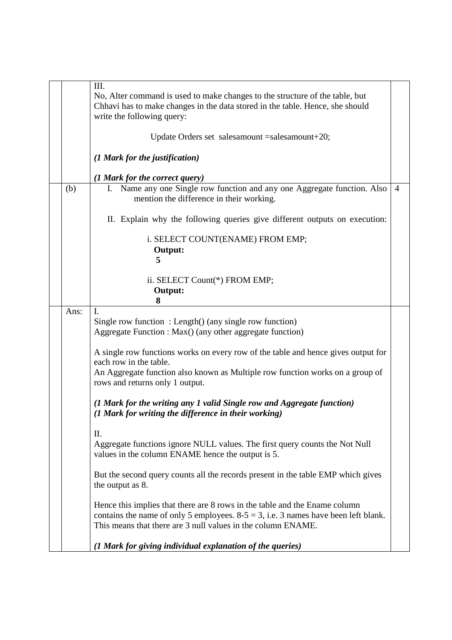|      | Ш.                                                                                                                             |                |
|------|--------------------------------------------------------------------------------------------------------------------------------|----------------|
|      | No, Alter command is used to make changes to the structure of the table, but                                                   |                |
|      | Chhavi has to make changes in the data stored in the table. Hence, she should                                                  |                |
|      | write the following query:                                                                                                     |                |
|      |                                                                                                                                |                |
|      | Update Orders set salesamount = salesamount + 20;                                                                              |                |
|      | (1 Mark for the justification)                                                                                                 |                |
|      | (1 Mark for the correct query)                                                                                                 |                |
| (b)  | Name any one Single row function and any one Aggregate function. Also<br>L.<br>mention the difference in their working.        | $\overline{4}$ |
|      | II. Explain why the following queries give different outputs on execution:                                                     |                |
|      | i. SELECT COUNT(ENAME) FROM EMP;                                                                                               |                |
|      | Output:                                                                                                                        |                |
|      | 5                                                                                                                              |                |
|      | ii. SELECT Count(*) FROM EMP;                                                                                                  |                |
|      | Output:                                                                                                                        |                |
|      | 8                                                                                                                              |                |
| Ans: | $\mathbf{I}$ .                                                                                                                 |                |
|      | Single row function : Length() (any single row function)                                                                       |                |
|      | Aggregate Function : Max() (any other aggregate function)                                                                      |                |
|      |                                                                                                                                |                |
|      | A single row functions works on every row of the table and hence gives output for                                              |                |
|      | each row in the table.                                                                                                         |                |
|      | An Aggregate function also known as Multiple row function works on a group of<br>rows and returns only 1 output.               |                |
|      | (1 Mark for the writing any 1 valid Single row and Aggregate function)<br>(1 Mark for writing the difference in their working) |                |
|      | П.                                                                                                                             |                |
|      | Aggregate functions ignore NULL values. The first query counts the Not Null                                                    |                |
|      | values in the column ENAME hence the output is 5.                                                                              |                |
|      | But the second query counts all the records present in the table EMP which gives                                               |                |
|      | the output as 8.                                                                                                               |                |
|      | Hence this implies that there are 8 rows in the table and the Ename column                                                     |                |
|      | contains the name of only 5 employees. $8-5 = 3$ , i.e. 3 names have been left blank.                                          |                |
|      | This means that there are 3 null values in the column ENAME.                                                                   |                |
|      | (1 Mark for giving individual explanation of the queries)                                                                      |                |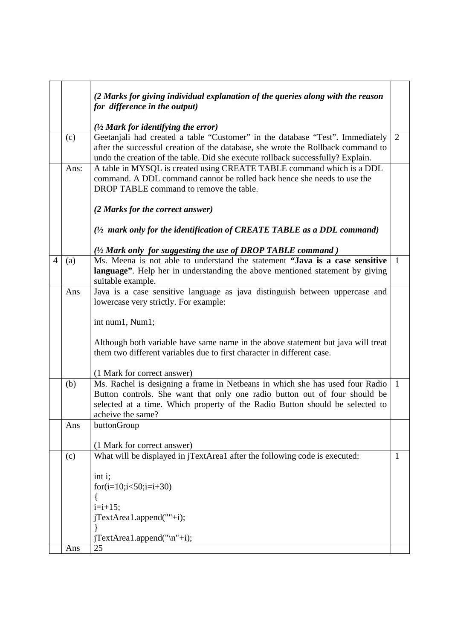|                |      | (2 Marks for giving individual explanation of the queries along with the reason<br>for difference in the output)                                                                                                                                                |                |
|----------------|------|-----------------------------------------------------------------------------------------------------------------------------------------------------------------------------------------------------------------------------------------------------------------|----------------|
|                |      | $(1/2)$ Mark for identifying the error)                                                                                                                                                                                                                         |                |
|                | (c)  | Geetanjali had created a table "Customer" in the database "Test". Immediately<br>after the successful creation of the database, she wrote the Rollback command to<br>undo the creation of the table. Did she execute rollback successfully? Explain.            | $\overline{2}$ |
|                | Ans: | A table in MYSQL is created using CREATE TABLE command which is a DDL<br>command. A DDL command cannot be rolled back hence she needs to use the<br>DROP TABLE command to remove the table.                                                                     |                |
|                |      | (2 Marks for the correct answer)                                                                                                                                                                                                                                |                |
|                |      | $(1/2$ mark only for the identification of CREATE TABLE as a DDL command)                                                                                                                                                                                       |                |
|                |      | (1/2 Mark only for suggesting the use of DROP TABLE command)                                                                                                                                                                                                    |                |
| $\overline{4}$ | (a)  | Ms. Meena is not able to understand the statement "Java is a case sensitive"<br>language". Help her in understanding the above mentioned statement by giving<br>suitable example.                                                                               | $\overline{1}$ |
|                | Ans  | Java is a case sensitive language as java distinguish between uppercase and                                                                                                                                                                                     |                |
|                |      | lowercase very strictly. For example:                                                                                                                                                                                                                           |                |
|                |      | int num1, Num1;                                                                                                                                                                                                                                                 |                |
|                |      | Although both variable have same name in the above statement but java will treat<br>them two different variables due to first character in different case.                                                                                                      |                |
|                |      | (1 Mark for correct answer)                                                                                                                                                                                                                                     |                |
|                | (b)  | Ms. Rachel is designing a frame in Netbeans in which she has used four Radio<br>Button controls. She want that only one radio button out of four should be<br>selected at a time. Which property of the Radio Button should be selected to<br>acheive the same? | $\overline{1}$ |
|                | Ans  | buttonGroup                                                                                                                                                                                                                                                     |                |
|                |      | (1 Mark for correct answer)                                                                                                                                                                                                                                     |                |
|                | (c)  | What will be displayed in jTextArea1 after the following code is executed:<br>int i;                                                                                                                                                                            | 1              |
|                |      | for(i=10;i $<50$ ;i=i+30)                                                                                                                                                                                                                                       |                |
|                |      | $i=i+15$ ;                                                                                                                                                                                                                                                      |                |
|                |      | jTextArea1.append(""+i);                                                                                                                                                                                                                                        |                |
|                |      | $jTextArea1.append("n"+i);$                                                                                                                                                                                                                                     |                |
|                | Ans  | 25                                                                                                                                                                                                                                                              |                |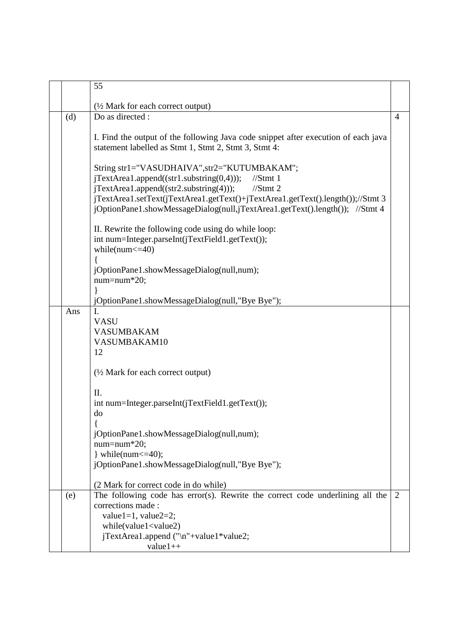|     | 55                                                                                                                                                                                                                                                                                                                                         |                |
|-----|--------------------------------------------------------------------------------------------------------------------------------------------------------------------------------------------------------------------------------------------------------------------------------------------------------------------------------------------|----------------|
|     | (½ Mark for each correct output)                                                                                                                                                                                                                                                                                                           |                |
| (d) | Do as directed :                                                                                                                                                                                                                                                                                                                           | $\overline{4}$ |
|     | I. Find the output of the following Java code snippet after execution of each java<br>statement labelled as Stmt 1, Stmt 2, Stmt 3, Stmt 4:                                                                                                                                                                                                |                |
|     | String str1="VASUDHAIVA", str2="KUTUMBAKAM";<br>$jTextArea1.append((str1.substring(0,4)));$<br>$//$ Stmt 1<br>$jTextArea1.append((str2.substring(4)))$ ;<br>$//$ Stmt 2<br>jTextArea1.setText(jTextArea1.getText()+jTextArea1.getText().length());//Stmt 3<br>jOptionPane1.showMessageDialog(null,jTextArea1.getText().length()); //Stmt 4 |                |
|     | II. Rewrite the following code using do while loop:<br>int num=Integer.parseInt(jTextField1.getText());<br>while( $num < = 40$ )                                                                                                                                                                                                           |                |
|     | jOptionPane1.showMessageDialog(null,num);<br>$num = num * 20;$<br>jOptionPane1.showMessageDialog(null,"Bye Bye");                                                                                                                                                                                                                          |                |
| Ans | I.<br><b>VASU</b><br><b>VASUMBAKAM</b><br>VASUMBAKAM10<br>12                                                                                                                                                                                                                                                                               |                |
|     | $\frac{1}{2}$ Mark for each correct output)<br>II.<br>int num=Integer.parseInt(jTextField1.getText());                                                                                                                                                                                                                                     |                |
|     | do<br>jOptionPane1.showMessageDialog(null,num);<br>$num = num * 20;$<br>$\}$ while(num $\leq$ = 40);<br>jOptionPane1.showMessageDialog(null,"Bye Bye");                                                                                                                                                                                    |                |
|     | (2 Mark for correct code in do while)                                                                                                                                                                                                                                                                                                      |                |
| (e) | The following code has error(s). Rewrite the correct code underlining all the<br>corrections made:<br>value1=1, value2=2;<br>while(value1 <value2)<br>jTextArea1.append ("\n"+value1*value2;</value2)<br>                                                                                                                                  | 2              |
|     | $value1++$                                                                                                                                                                                                                                                                                                                                 |                |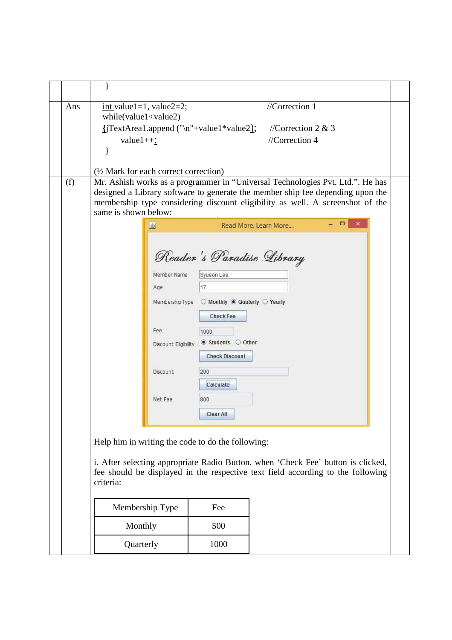| Ans | int value1=1, value2=2;<br>while(value1 <value2)<br><math>\{</math>[TextArea1.append ("\n"+value1*value2); //Correction 2 &amp; 3<br/>value<math>1++</math>;</value2)<br>                                                                                                                                                    |                                                                                                                                                                   | //Correction $1$<br>//Correction 4                                             |  |  |
|-----|------------------------------------------------------------------------------------------------------------------------------------------------------------------------------------------------------------------------------------------------------------------------------------------------------------------------------|-------------------------------------------------------------------------------------------------------------------------------------------------------------------|--------------------------------------------------------------------------------|--|--|
| (f) | $\frac{1}{2}$ Mark for each correct correction)<br>Mr. Ashish works as a programmer in "Universal Technologies Pvt. Ltd.". He has<br>designed a Library software to generate the member ship fee depending upon the<br>membership type considering discount eligibility as well. A screenshot of the<br>same is shown below: |                                                                                                                                                                   |                                                                                |  |  |
|     | 画<br>Member Name<br>Age<br>MembershipType<br>Fee<br>Discount Eligibility<br>Discount<br>Net Fee                                                                                                                                                                                                                              | Syueon Lee<br>17<br>◯ Monthly  © Quaterly ◯ Yearly<br><b>Check Fee</b><br>1000<br>Students Other<br><b>Check Discount</b><br>200<br>Calculate<br>800<br>Clear All | $\Box$<br>$\pmb{\times}$<br>Read More, Learn More<br>Reader's Paradise Library |  |  |
|     | Help him in writing the code to do the following:<br>i. After selecting appropriate Radio Button, when 'Check Fee' button is clicked,<br>fee should be displayed in the respective text field according to the following<br>criteria:                                                                                        |                                                                                                                                                                   |                                                                                |  |  |
|     | Membership Type                                                                                                                                                                                                                                                                                                              | Fee                                                                                                                                                               |                                                                                |  |  |
|     | Monthly                                                                                                                                                                                                                                                                                                                      | 500                                                                                                                                                               |                                                                                |  |  |
|     | Quarterly                                                                                                                                                                                                                                                                                                                    | 1000                                                                                                                                                              |                                                                                |  |  |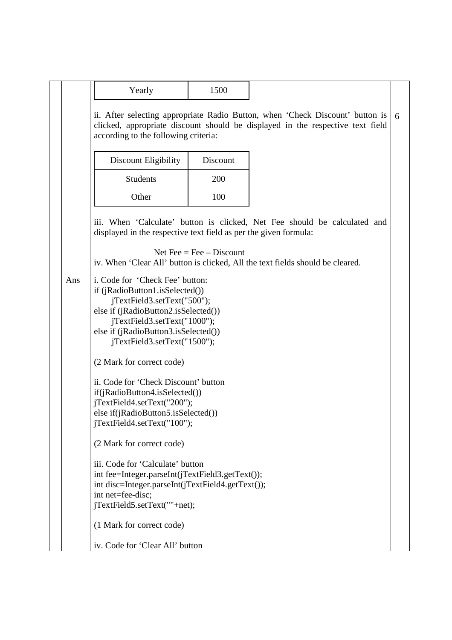|     | Yearly                                                                                                                                                                                                                                                                                                                                                                                                                                                                                                                                                                                                                                                                                                                    | 1500                       |                                                                                                                                                                 |   |  |
|-----|---------------------------------------------------------------------------------------------------------------------------------------------------------------------------------------------------------------------------------------------------------------------------------------------------------------------------------------------------------------------------------------------------------------------------------------------------------------------------------------------------------------------------------------------------------------------------------------------------------------------------------------------------------------------------------------------------------------------------|----------------------------|-----------------------------------------------------------------------------------------------------------------------------------------------------------------|---|--|
|     |                                                                                                                                                                                                                                                                                                                                                                                                                                                                                                                                                                                                                                                                                                                           |                            |                                                                                                                                                                 |   |  |
|     | according to the following criteria:                                                                                                                                                                                                                                                                                                                                                                                                                                                                                                                                                                                                                                                                                      |                            | ii. After selecting appropriate Radio Button, when 'Check Discount' button is<br>clicked, appropriate discount should be displayed in the respective text field | 6 |  |
|     | Discount Eligibility                                                                                                                                                                                                                                                                                                                                                                                                                                                                                                                                                                                                                                                                                                      | Discount                   |                                                                                                                                                                 |   |  |
|     | <b>Students</b>                                                                                                                                                                                                                                                                                                                                                                                                                                                                                                                                                                                                                                                                                                           | 200                        |                                                                                                                                                                 |   |  |
|     | Other                                                                                                                                                                                                                                                                                                                                                                                                                                                                                                                                                                                                                                                                                                                     | 100                        |                                                                                                                                                                 |   |  |
|     | displayed in the respective text field as per the given formula:                                                                                                                                                                                                                                                                                                                                                                                                                                                                                                                                                                                                                                                          | Net Fee = Fee $-$ Discount | iii. When 'Calculate' button is clicked, Net Fee should be calculated and<br>iv. When 'Clear All' button is clicked, All the text fields should be cleared.     |   |  |
| Ans | i. Code for 'Check Fee' button:<br>if (jRadioButton1.isSelected())<br>jTextField3.setText("500");<br>else if (jRadioButton2.isSelected())<br>jTextField3.setText("1000");<br>else if (jRadioButton3.isSelected())<br>jTextField3.setText("1500");<br>(2 Mark for correct code)<br>ii. Code for 'Check Discount' button<br>if(jRadioButton4.isSelected())<br>jTextField4.setText("200");<br>else if(jRadioButton5.isSelected())<br>jTextField4.setText("100");<br>(2 Mark for correct code)<br>iii. Code for 'Calculate' button<br>int fee=Integer.parseInt(jTextField3.getText());<br>int disc=Integer.parseInt(jTextField4.getText());<br>int net=fee-disc;<br>jTextField5.setText(""+net);<br>(1 Mark for correct code) |                            |                                                                                                                                                                 |   |  |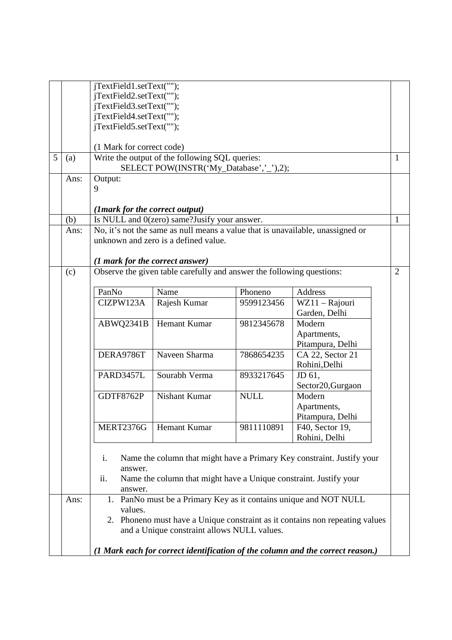|   |      | jTextField1.setText("");<br>jTextField2.setText("");<br>jTextField3.setText("");<br>jTextField4.setText("");<br>jTextField5.setText("");                                       |                                                                       |             |                                                                                |                |  |
|---|------|--------------------------------------------------------------------------------------------------------------------------------------------------------------------------------|-----------------------------------------------------------------------|-------------|--------------------------------------------------------------------------------|----------------|--|
|   |      | (1 Mark for correct code)                                                                                                                                                      |                                                                       |             |                                                                                |                |  |
| 5 | (a)  |                                                                                                                                                                                | Write the output of the following SQL queries:<br>1                   |             |                                                                                |                |  |
|   | Ans: | Output:                                                                                                                                                                        | SELECT POW(INSTR('My_Database','_'),2);                               |             |                                                                                |                |  |
|   |      | 9                                                                                                                                                                              |                                                                       |             |                                                                                |                |  |
|   |      |                                                                                                                                                                                |                                                                       |             |                                                                                |                |  |
|   |      | (1mark for the correct output)                                                                                                                                                 |                                                                       |             |                                                                                |                |  |
|   | (b)  |                                                                                                                                                                                | Is NULL and 0(zero) same?Jusify your answer.                          |             |                                                                                | 1              |  |
|   | Ans: |                                                                                                                                                                                |                                                                       |             | No, it's not the same as null means a value that is unavailable, unassigned or |                |  |
|   |      |                                                                                                                                                                                | unknown and zero is a defined value.                                  |             |                                                                                |                |  |
|   |      |                                                                                                                                                                                |                                                                       |             |                                                                                |                |  |
|   |      | (1 mark for the correct answer)                                                                                                                                                |                                                                       |             |                                                                                |                |  |
|   | (c)  |                                                                                                                                                                                | Observe the given table carefully and answer the following questions: |             |                                                                                | $\overline{2}$ |  |
|   |      |                                                                                                                                                                                |                                                                       |             |                                                                                |                |  |
|   |      | PanNo                                                                                                                                                                          | Name                                                                  | Phoneno     | Address                                                                        |                |  |
|   |      | CIZPW123A                                                                                                                                                                      | Rajesh Kumar                                                          | 9599123456  | WZ11 - Rajouri                                                                 |                |  |
|   |      |                                                                                                                                                                                |                                                                       |             | Garden, Delhi                                                                  |                |  |
|   |      | ABWQ2341B                                                                                                                                                                      | Hemant Kumar                                                          | 9812345678  | Modern                                                                         |                |  |
|   |      |                                                                                                                                                                                |                                                                       |             | Apartments,                                                                    |                |  |
|   |      | DERA9786T                                                                                                                                                                      | Naveen Sharma                                                         | 7868654235  | Pitampura, Delhi<br>CA 22, Sector 21                                           |                |  |
|   |      |                                                                                                                                                                                |                                                                       |             | Rohini, Delhi                                                                  |                |  |
|   |      | PARD3457L                                                                                                                                                                      | Sourabh Verma                                                         | 8933217645  | JD 61,                                                                         |                |  |
|   |      |                                                                                                                                                                                |                                                                       |             | Sector20, Gurgaon                                                              |                |  |
|   |      | GDTF8762P                                                                                                                                                                      | <b>Nishant Kumar</b>                                                  | <b>NULL</b> | Modern                                                                         |                |  |
|   |      |                                                                                                                                                                                |                                                                       |             | Apartments,                                                                    |                |  |
|   |      |                                                                                                                                                                                |                                                                       |             | Pitampura, Delhi                                                               |                |  |
|   |      | MERT2376G                                                                                                                                                                      | Hemant Kumar                                                          | 9811110891  | F40, Sector 19,                                                                |                |  |
|   |      |                                                                                                                                                                                |                                                                       |             | Rohini, Delhi                                                                  |                |  |
|   |      | Name the column that might have a Primary Key constraint. Justify your<br>i.<br>answer.<br>ii.<br>Name the column that might have a Unique constraint. Justify your<br>answer. |                                                                       |             |                                                                                |                |  |
|   | Ans: | 1.                                                                                                                                                                             |                                                                       |             | PanNo must be a Primary Key as it contains unique and NOT NULL                 |                |  |
|   |      | values.<br>Phoneno must have a Unique constraint as it contains non repeating values<br>2.<br>and a Unique constraint allows NULL values.                                      |                                                                       |             |                                                                                |                |  |
|   |      |                                                                                                                                                                                |                                                                       |             | (1 Mark each for correct identification of the column and the correct reason.) |                |  |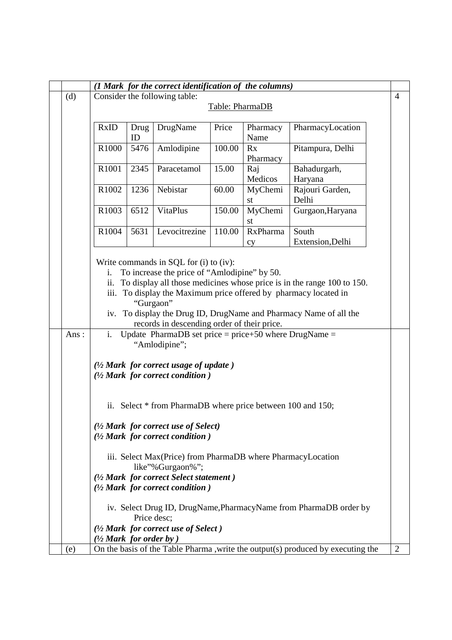|                                                                                                                                                                                                                                                                                                                                                                                    |                                                                          |                                                                                                                                                                                                                                           |      | (1 Mark for the correct identification of the columns) |        |                 |                  |  |  |  |
|------------------------------------------------------------------------------------------------------------------------------------------------------------------------------------------------------------------------------------------------------------------------------------------------------------------------------------------------------------------------------------|--------------------------------------------------------------------------|-------------------------------------------------------------------------------------------------------------------------------------------------------------------------------------------------------------------------------------------|------|--------------------------------------------------------|--------|-----------------|------------------|--|--|--|
|                                                                                                                                                                                                                                                                                                                                                                                    | (d)                                                                      | Consider the following table:                                                                                                                                                                                                             |      |                                                        |        |                 |                  |  |  |  |
|                                                                                                                                                                                                                                                                                                                                                                                    |                                                                          | Table: PharmaDB                                                                                                                                                                                                                           |      |                                                        |        |                 |                  |  |  |  |
|                                                                                                                                                                                                                                                                                                                                                                                    | <b>RxID</b><br>DrugName<br>Price<br>PharmacyLocation<br>Drug<br>Pharmacy |                                                                                                                                                                                                                                           |      |                                                        |        |                 |                  |  |  |  |
|                                                                                                                                                                                                                                                                                                                                                                                    |                                                                          |                                                                                                                                                                                                                                           | ID   |                                                        |        | Name            |                  |  |  |  |
|                                                                                                                                                                                                                                                                                                                                                                                    |                                                                          | R1000                                                                                                                                                                                                                                     | 5476 | Amlodipine                                             | 100.00 | Rx              | Pitampura, Delhi |  |  |  |
|                                                                                                                                                                                                                                                                                                                                                                                    |                                                                          | R1001                                                                                                                                                                                                                                     | 2345 | Paracetamol                                            | 15.00  | Pharmacy        | Bahadurgarh,     |  |  |  |
|                                                                                                                                                                                                                                                                                                                                                                                    |                                                                          |                                                                                                                                                                                                                                           |      |                                                        |        | Raj<br>Medicos  | Haryana          |  |  |  |
|                                                                                                                                                                                                                                                                                                                                                                                    |                                                                          | R1002                                                                                                                                                                                                                                     | 1236 | Nebistar                                               | 60.00  | MyChemi         | Rajouri Garden,  |  |  |  |
|                                                                                                                                                                                                                                                                                                                                                                                    |                                                                          |                                                                                                                                                                                                                                           |      |                                                        |        | st              | Delhi            |  |  |  |
|                                                                                                                                                                                                                                                                                                                                                                                    |                                                                          | R1003                                                                                                                                                                                                                                     | 6512 | <b>VitaPlus</b>                                        | 150.00 | MyChemi<br>st   | Gurgaon, Haryana |  |  |  |
|                                                                                                                                                                                                                                                                                                                                                                                    |                                                                          | R1004                                                                                                                                                                                                                                     | 5631 | Levocitrezine                                          | 110.00 | <b>RxPharma</b> | South            |  |  |  |
|                                                                                                                                                                                                                                                                                                                                                                                    |                                                                          |                                                                                                                                                                                                                                           |      |                                                        |        | cy              | Extension, Delhi |  |  |  |
| Write commands in SQL for (i) to (iv):<br>To increase the price of "Amlodipine" by 50.<br>i.<br>To display all those medicines whose price is in the range 100 to 150.<br>ii.<br>iii. To display the Maximum price offered by pharmacy located in<br>"Gurgaon"<br>iv. To display the Drug ID, DrugName and Pharmacy Name of all the<br>records in descending order of their price. |                                                                          |                                                                                                                                                                                                                                           |      |                                                        |        |                 |                  |  |  |  |
|                                                                                                                                                                                                                                                                                                                                                                                    | Ans:                                                                     | Update PharmaDB set price = $price+50$ where DrugName =<br>i.<br>"Amlodipine";<br>$(1/2$ Mark for correct usage of update)<br>$(1/2)$ Mark for correct condition )                                                                        |      |                                                        |        |                 |                  |  |  |  |
|                                                                                                                                                                                                                                                                                                                                                                                    |                                                                          | ii. Select * from PharmaDB where price between 100 and 150;<br>$\frac{1}{2}$ Mark for correct use of Select)<br>$(1/2)$ Mark for correct condition )<br>iii. Select Max (Price) from PharmaDB where Pharmacy Location<br>like"%Gurgaon%"; |      |                                                        |        |                 |                  |  |  |  |
|                                                                                                                                                                                                                                                                                                                                                                                    |                                                                          |                                                                                                                                                                                                                                           |      |                                                        |        |                 |                  |  |  |  |
|                                                                                                                                                                                                                                                                                                                                                                                    |                                                                          |                                                                                                                                                                                                                                           |      |                                                        |        |                 |                  |  |  |  |
|                                                                                                                                                                                                                                                                                                                                                                                    |                                                                          | $(1/2)$ Mark for correct Select statement)                                                                                                                                                                                                |      |                                                        |        |                 |                  |  |  |  |
|                                                                                                                                                                                                                                                                                                                                                                                    |                                                                          | $(1/2)$ Mark for correct condition)<br>iv. Select Drug ID, DrugName, Pharmacy Name from PharmaDB order by<br>Price desc:                                                                                                                  |      |                                                        |        |                 |                  |  |  |  |
|                                                                                                                                                                                                                                                                                                                                                                                    |                                                                          |                                                                                                                                                                                                                                           |      |                                                        |        |                 |                  |  |  |  |
|                                                                                                                                                                                                                                                                                                                                                                                    |                                                                          |                                                                                                                                                                                                                                           |      | $(1/2$ Mark for correct use of Select)                 |        |                 |                  |  |  |  |
|                                                                                                                                                                                                                                                                                                                                                                                    |                                                                          | $\frac{1}{2}$ Mark for order by )                                                                                                                                                                                                         |      |                                                        |        |                 |                  |  |  |  |
|                                                                                                                                                                                                                                                                                                                                                                                    | (e)                                                                      | On the basis of the Table Pharma , write the output(s) produced by executing the<br>$\overline{2}$                                                                                                                                        |      |                                                        |        |                 |                  |  |  |  |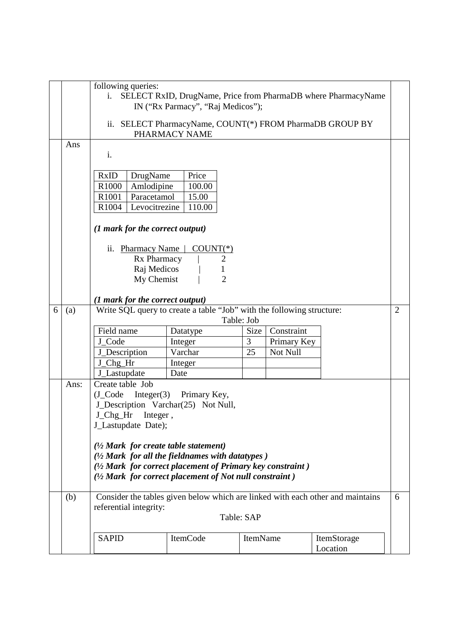|   |             | following queries:<br>SELECT RxID, DrugName, Price from PharmaDB where PharmacyName<br>$\mathbf{i}$ .<br>IN ("Rx Parmacy", "Raj Medicos");<br>ii. SELECT PharmacyName, COUNT(*) FROM PharmaDB GROUP BY<br>PHARMACY NAME                                                                                                                                                                                                                                                                            |                                                                                                                            |                               |                                       |                         |                |  |
|---|-------------|----------------------------------------------------------------------------------------------------------------------------------------------------------------------------------------------------------------------------------------------------------------------------------------------------------------------------------------------------------------------------------------------------------------------------------------------------------------------------------------------------|----------------------------------------------------------------------------------------------------------------------------|-------------------------------|---------------------------------------|-------------------------|----------------|--|
|   | Ans         | i.<br><b>RxID</b><br>Price<br>DrugName<br>R1000<br>Amlodipine<br>100.00<br>R1001<br>Paracetamol<br>15.00<br>Levocitrezine<br>R <sub>1004</sub><br>110.00<br>(1 mark for the correct output)<br>ii. Pharmacy Name<br>$COUNT(*)$<br>Rx Pharmacy<br>2<br>Raj Medicos<br>$\overline{2}$<br>My Chemist                                                                                                                                                                                                  |                                                                                                                            |                               |                                       |                         |                |  |
| 6 | (a)         | (1 mark for the correct output)<br>Field name<br>J_Code<br>J_Description<br>J_Chg_Hr<br>J_Lastupdate                                                                                                                                                                                                                                                                                                                                                                                               | Write SQL query to create a table "Job" with the following structure:<br>Datatype<br>Integer<br>Varchar<br>Integer<br>Date | Table: Job<br>Size<br>3<br>25 | Constraint<br>Primary Key<br>Not Null |                         | $\overline{2}$ |  |
|   | Ans:<br>(b) | Create table Job<br>Integer $(3)$ Primary Key,<br>$(J_{\text{1}}\text{Code})$<br>J_Description Varchar(25) Not Null,<br>J Chg Hr<br>Integer,<br>J_Lastupdate Date);<br>$\frac{1}{2}$ Mark for create table statement)<br>$(1/2)$ Mark for all the fieldnames with datatypes $)$<br>$(1/2)$ Mark for correct placement of Primary key constraint)<br>(1/2 Mark for correct placement of Not null constraint)<br>Consider the tables given below which are linked with each other and maintains<br>6 |                                                                                                                            |                               |                                       |                         |                |  |
|   |             | referential integrity:                                                                                                                                                                                                                                                                                                                                                                                                                                                                             |                                                                                                                            | Table: SAP                    |                                       |                         |                |  |
|   |             | <b>SAPID</b>                                                                                                                                                                                                                                                                                                                                                                                                                                                                                       | ItemCode                                                                                                                   | ItemName                      |                                       | ItemStorage<br>Location |                |  |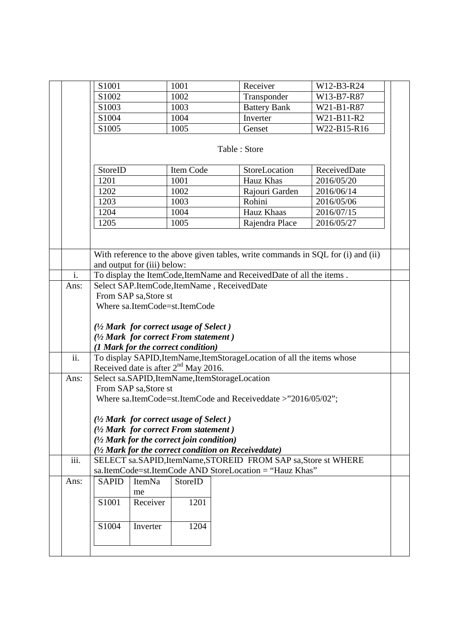|                   |                                                                |                                                                  |        | Inverter                                                                                                                                                            |                                                                                                                                                                                                    |                                                                                                                                                                                                                                                                                                                                                                                   |  |  |  |
|-------------------|----------------------------------------------------------------|------------------------------------------------------------------|--------|---------------------------------------------------------------------------------------------------------------------------------------------------------------------|----------------------------------------------------------------------------------------------------------------------------------------------------------------------------------------------------|-----------------------------------------------------------------------------------------------------------------------------------------------------------------------------------------------------------------------------------------------------------------------------------------------------------------------------------------------------------------------------------|--|--|--|
|                   | S1005                                                          |                                                                  |        | Genset                                                                                                                                                              | W22-B15-R16                                                                                                                                                                                        |                                                                                                                                                                                                                                                                                                                                                                                   |  |  |  |
|                   |                                                                |                                                                  |        |                                                                                                                                                                     |                                                                                                                                                                                                    |                                                                                                                                                                                                                                                                                                                                                                                   |  |  |  |
|                   | Table: Store                                                   |                                                                  |        |                                                                                                                                                                     |                                                                                                                                                                                                    |                                                                                                                                                                                                                                                                                                                                                                                   |  |  |  |
|                   | StoreID                                                        |                                                                  |        | StoreLocation                                                                                                                                                       | ReceivedDate                                                                                                                                                                                       |                                                                                                                                                                                                                                                                                                                                                                                   |  |  |  |
|                   | 1201                                                           |                                                                  |        | Hauz Khas                                                                                                                                                           | 2016/05/20                                                                                                                                                                                         |                                                                                                                                                                                                                                                                                                                                                                                   |  |  |  |
|                   | 1202                                                           |                                                                  |        | Rajouri Garden                                                                                                                                                      | 2016/06/14                                                                                                                                                                                         |                                                                                                                                                                                                                                                                                                                                                                                   |  |  |  |
|                   | 1203                                                           |                                                                  |        | Rohini                                                                                                                                                              | 2016/05/06                                                                                                                                                                                         |                                                                                                                                                                                                                                                                                                                                                                                   |  |  |  |
|                   |                                                                |                                                                  |        | Hauz Khaas                                                                                                                                                          |                                                                                                                                                                                                    |                                                                                                                                                                                                                                                                                                                                                                                   |  |  |  |
|                   |                                                                |                                                                  |        |                                                                                                                                                                     |                                                                                                                                                                                                    |                                                                                                                                                                                                                                                                                                                                                                                   |  |  |  |
|                   |                                                                |                                                                  |        |                                                                                                                                                                     |                                                                                                                                                                                                    |                                                                                                                                                                                                                                                                                                                                                                                   |  |  |  |
|                   |                                                                |                                                                  |        |                                                                                                                                                                     |                                                                                                                                                                                                    |                                                                                                                                                                                                                                                                                                                                                                                   |  |  |  |
|                   |                                                                |                                                                  |        |                                                                                                                                                                     |                                                                                                                                                                                                    |                                                                                                                                                                                                                                                                                                                                                                                   |  |  |  |
|                   |                                                                |                                                                  |        |                                                                                                                                                                     |                                                                                                                                                                                                    |                                                                                                                                                                                                                                                                                                                                                                                   |  |  |  |
| $\mathbf{i}$ .    |                                                                |                                                                  |        |                                                                                                                                                                     |                                                                                                                                                                                                    |                                                                                                                                                                                                                                                                                                                                                                                   |  |  |  |
| Ans:              |                                                                |                                                                  |        |                                                                                                                                                                     |                                                                                                                                                                                                    |                                                                                                                                                                                                                                                                                                                                                                                   |  |  |  |
|                   |                                                                |                                                                  |        |                                                                                                                                                                     |                                                                                                                                                                                                    |                                                                                                                                                                                                                                                                                                                                                                                   |  |  |  |
|                   |                                                                |                                                                  |        |                                                                                                                                                                     |                                                                                                                                                                                                    |                                                                                                                                                                                                                                                                                                                                                                                   |  |  |  |
|                   |                                                                |                                                                  |        |                                                                                                                                                                     |                                                                                                                                                                                                    |                                                                                                                                                                                                                                                                                                                                                                                   |  |  |  |
|                   |                                                                |                                                                  |        |                                                                                                                                                                     |                                                                                                                                                                                                    |                                                                                                                                                                                                                                                                                                                                                                                   |  |  |  |
|                   | (1/2 Mark for correct From statement)                          |                                                                  |        |                                                                                                                                                                     |                                                                                                                                                                                                    |                                                                                                                                                                                                                                                                                                                                                                                   |  |  |  |
|                   | (1 Mark for the correct condition)                             |                                                                  |        |                                                                                                                                                                     |                                                                                                                                                                                                    |                                                                                                                                                                                                                                                                                                                                                                                   |  |  |  |
| $\overline{ii}$ . |                                                                |                                                                  |        |                                                                                                                                                                     |                                                                                                                                                                                                    |                                                                                                                                                                                                                                                                                                                                                                                   |  |  |  |
|                   | Received date is after $2nd$ May 2016.                         |                                                                  |        |                                                                                                                                                                     |                                                                                                                                                                                                    |                                                                                                                                                                                                                                                                                                                                                                                   |  |  |  |
| Ans:              | Select sa.SAPID, ItemName, ItemStorageLocation                 |                                                                  |        |                                                                                                                                                                     |                                                                                                                                                                                                    |                                                                                                                                                                                                                                                                                                                                                                                   |  |  |  |
|                   | From SAP sa, Store st                                          |                                                                  |        |                                                                                                                                                                     |                                                                                                                                                                                                    |                                                                                                                                                                                                                                                                                                                                                                                   |  |  |  |
|                   | Where sa.ItemCode=st.ItemCode and Receiveddate >"2016/05/02";  |                                                                  |        |                                                                                                                                                                     |                                                                                                                                                                                                    |                                                                                                                                                                                                                                                                                                                                                                                   |  |  |  |
|                   |                                                                |                                                                  |        |                                                                                                                                                                     |                                                                                                                                                                                                    |                                                                                                                                                                                                                                                                                                                                                                                   |  |  |  |
|                   | $\frac{1}{2}$ Mark for correct usage of Select)                |                                                                  |        |                                                                                                                                                                     |                                                                                                                                                                                                    |                                                                                                                                                                                                                                                                                                                                                                                   |  |  |  |
|                   | $(1/2)$ Mark for correct From statement)                       |                                                                  |        |                                                                                                                                                                     |                                                                                                                                                                                                    |                                                                                                                                                                                                                                                                                                                                                                                   |  |  |  |
|                   | $\frac{1}{2}$ Mark for the correct join condition)             |                                                                  |        |                                                                                                                                                                     |                                                                                                                                                                                                    |                                                                                                                                                                                                                                                                                                                                                                                   |  |  |  |
|                   | (1/2 Mark for the correct condition on Receiveddate)           |                                                                  |        |                                                                                                                                                                     |                                                                                                                                                                                                    |                                                                                                                                                                                                                                                                                                                                                                                   |  |  |  |
|                   | SELECT sa.SAPID, ItemName, STOREID FROM SAP sa, Store st WHERE |                                                                  |        |                                                                                                                                                                     |                                                                                                                                                                                                    |                                                                                                                                                                                                                                                                                                                                                                                   |  |  |  |
|                   |                                                                |                                                                  |        |                                                                                                                                                                     |                                                                                                                                                                                                    |                                                                                                                                                                                                                                                                                                                                                                                   |  |  |  |
|                   |                                                                |                                                                  |        |                                                                                                                                                                     |                                                                                                                                                                                                    |                                                                                                                                                                                                                                                                                                                                                                                   |  |  |  |
|                   |                                                                | me                                                               |        |                                                                                                                                                                     |                                                                                                                                                                                                    |                                                                                                                                                                                                                                                                                                                                                                                   |  |  |  |
|                   |                                                                |                                                                  |        |                                                                                                                                                                     |                                                                                                                                                                                                    |                                                                                                                                                                                                                                                                                                                                                                                   |  |  |  |
|                   | S1001                                                          | Receiver                                                         | 1201   |                                                                                                                                                                     |                                                                                                                                                                                                    |                                                                                                                                                                                                                                                                                                                                                                                   |  |  |  |
|                   |                                                                |                                                                  |        |                                                                                                                                                                     |                                                                                                                                                                                                    |                                                                                                                                                                                                                                                                                                                                                                                   |  |  |  |
|                   | S1004                                                          | Inverter                                                         | 1204   |                                                                                                                                                                     |                                                                                                                                                                                                    |                                                                                                                                                                                                                                                                                                                                                                                   |  |  |  |
|                   |                                                                |                                                                  |        |                                                                                                                                                                     |                                                                                                                                                                                                    |                                                                                                                                                                                                                                                                                                                                                                                   |  |  |  |
|                   | iii.<br>Ans:                                                   | S1001<br>S1002<br>S1003<br>S1004<br>1204<br>1205<br><b>SAPID</b> | ItemNa | 1001<br>1002<br>1003<br>1004<br>1005<br><b>Item Code</b><br>1001<br>1002<br>1003<br>1004<br>1005<br>and output for (iii) below:<br>From SAP sa, Store st<br>StoreID | Receiver<br>Transponder<br><b>Battery Bank</b><br>Rajendra Place<br>Select SAP.ItemCode,ItemName, ReceivedDate<br>Where sa.ItemCode=st.ItemCode<br>$\frac{1}{2}$ Mark for correct usage of Select) | W12-B3-R24<br>W13-B7-R87<br>W21-B1-R87<br>W21-B11-R2<br>2016/07/15<br>2016/05/27<br>With reference to the above given tables, write commands in SQL for (i) and (ii)<br>To display the ItemCode, ItemName and ReceivedDate of all the items.<br>To display SAPID, ItemName, ItemStorageLocation of all the items whose<br>sa.ItemCode=st.ItemCode AND StoreLocation = "Hauz Khas" |  |  |  |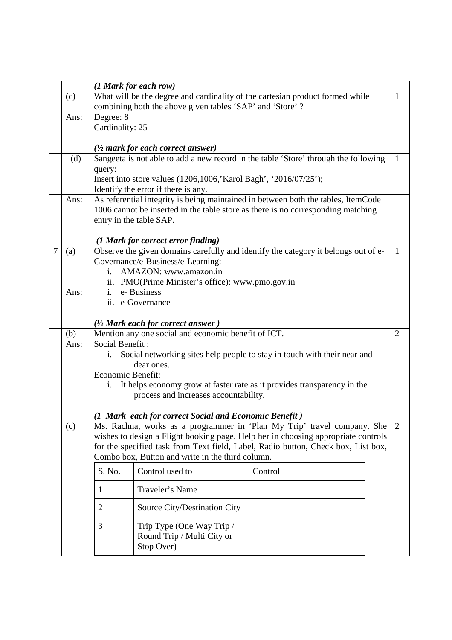|   |      | (1 Mark for each row)                                                                     |              |  |  |  |  |  |
|---|------|-------------------------------------------------------------------------------------------|--------------|--|--|--|--|--|
|   | (c)  | What will be the degree and cardinality of the cartesian product formed while<br>1        |              |  |  |  |  |  |
|   |      | combining both the above given tables 'SAP' and 'Store'?                                  |              |  |  |  |  |  |
|   | Ans: | Degree: 8                                                                                 |              |  |  |  |  |  |
|   |      | Cardinality: 25                                                                           |              |  |  |  |  |  |
|   |      |                                                                                           |              |  |  |  |  |  |
|   |      | $(1/2$ mark for each correct answer)                                                      |              |  |  |  |  |  |
|   | (d)  | Sangeeta is not able to add a new record in the table 'Store' through the following       | $\mathbf{1}$ |  |  |  |  |  |
|   |      | query:                                                                                    |              |  |  |  |  |  |
|   |      | Insert into store values (1206,1006, Karol Bagh', '2016/07/25');                          |              |  |  |  |  |  |
|   |      | Identify the error if there is any.                                                       |              |  |  |  |  |  |
|   | Ans: | As referential integrity is being maintained in between both the tables, ItemCode         |              |  |  |  |  |  |
|   |      | 1006 cannot be inserted in the table store as there is no corresponding matching          |              |  |  |  |  |  |
|   |      | entry in the table SAP.                                                                   |              |  |  |  |  |  |
|   |      |                                                                                           |              |  |  |  |  |  |
|   |      | (1 Mark for correct error finding)                                                        |              |  |  |  |  |  |
| 7 | (a)  | Observe the given domains carefully and identify the category it belongs out of e-        | $\mathbf{1}$ |  |  |  |  |  |
|   |      | Governance/e-Business/e-Learning:<br>AMAZON: www.amazon.in                                |              |  |  |  |  |  |
|   |      | i.                                                                                        |              |  |  |  |  |  |
|   | Ans: | ii. PMO(Prime Minister's office): www.pmo.gov.in                                          |              |  |  |  |  |  |
|   |      | e-Business<br>$i$ .                                                                       |              |  |  |  |  |  |
|   |      | ii. e-Governance                                                                          |              |  |  |  |  |  |
|   |      | $(1/2)$ Mark each for correct answer $)$                                                  |              |  |  |  |  |  |
|   | (b)  | Mention any one social and economic benefit of ICT.<br>$\overline{2}$                     |              |  |  |  |  |  |
|   | Ans: | Social Benefit:                                                                           |              |  |  |  |  |  |
|   |      | Social networking sites help people to stay in touch with their near and<br>i.            |              |  |  |  |  |  |
|   |      | dear ones.                                                                                |              |  |  |  |  |  |
|   |      | Economic Benefit:                                                                         |              |  |  |  |  |  |
|   |      | It helps economy grow at faster rate as it provides transparency in the<br>i.             |              |  |  |  |  |  |
|   |      | process and increases accountability.                                                     |              |  |  |  |  |  |
|   |      |                                                                                           |              |  |  |  |  |  |
|   |      | (1 Mark each for correct Social and Economic Benefit)                                     |              |  |  |  |  |  |
|   | (c)  | Ms. Rachna, works as a programmer in 'Plan My Trip' travel company. She<br>$\overline{2}$ |              |  |  |  |  |  |
|   |      | wishes to design a Flight booking page. Help her in choosing appropriate controls         |              |  |  |  |  |  |
|   |      | for the specified task from Text field, Label, Radio button, Check box, List box,         |              |  |  |  |  |  |
|   |      | Combo box, Button and write in the third column.                                          |              |  |  |  |  |  |
|   |      | S. No.<br>Control used to<br>Control                                                      |              |  |  |  |  |  |
|   |      | Traveler's Name<br>1                                                                      |              |  |  |  |  |  |
|   |      | $\overline{2}$<br>Source City/Destination City                                            |              |  |  |  |  |  |
|   |      | 3<br>Trip Type (One Way Trip /<br>Round Trip / Multi City or<br>Stop Over)                |              |  |  |  |  |  |